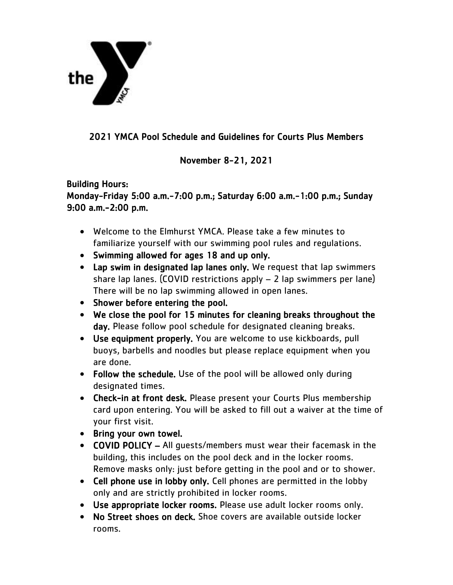

## 2021 YMCA Pool Schedule and Guidelines for Courts Plus Members

## November 8-21, 2021

## Building Hours: Monday-Friday 5:00 a.m.-7:00 p.m.; Saturday 6:00 a.m.-1:00 p.m.; Sunday 9:00 a.m.-2:00 p.m.

- Welcome to the Elmhurst YMCA. Please take a few minutes to familiarize yourself with our swimming pool rules and regulations.
- Swimming allowed for ages 18 and up only.
- Lap swim in designated lap lanes only. We request that lap swimmers share lap lanes. (COVID restrictions apply – 2 lap swimmers per lane) There will be no lap swimming allowed in open lanes.
- Shower before entering the pool.
- We close the pool for 15 minutes for cleaning breaks throughout the day. Please follow pool schedule for designated cleaning breaks.
- Use equipment properly. You are welcome to use kickboards, pull buoys, barbells and noodles but please replace equipment when you are done.
- Follow the schedule. Use of the pool will be allowed only during designated times.
- Check-in at front desk. Please present your Courts Plus membership card upon entering. You will be asked to fill out a waiver at the time of your first visit.
- Bring your own towel.
- COVID POLICY All guests/members must wear their facemask in the building, this includes on the pool deck and in the locker rooms. Remove masks only: just before getting in the pool and or to shower.
- Cell phone use in lobby only. Cell phones are permitted in the lobby only and are strictly prohibited in locker rooms.
- Use appropriate locker rooms. Please use adult locker rooms only.
- No Street shoes on deck. Shoe covers are available outside locker rooms.